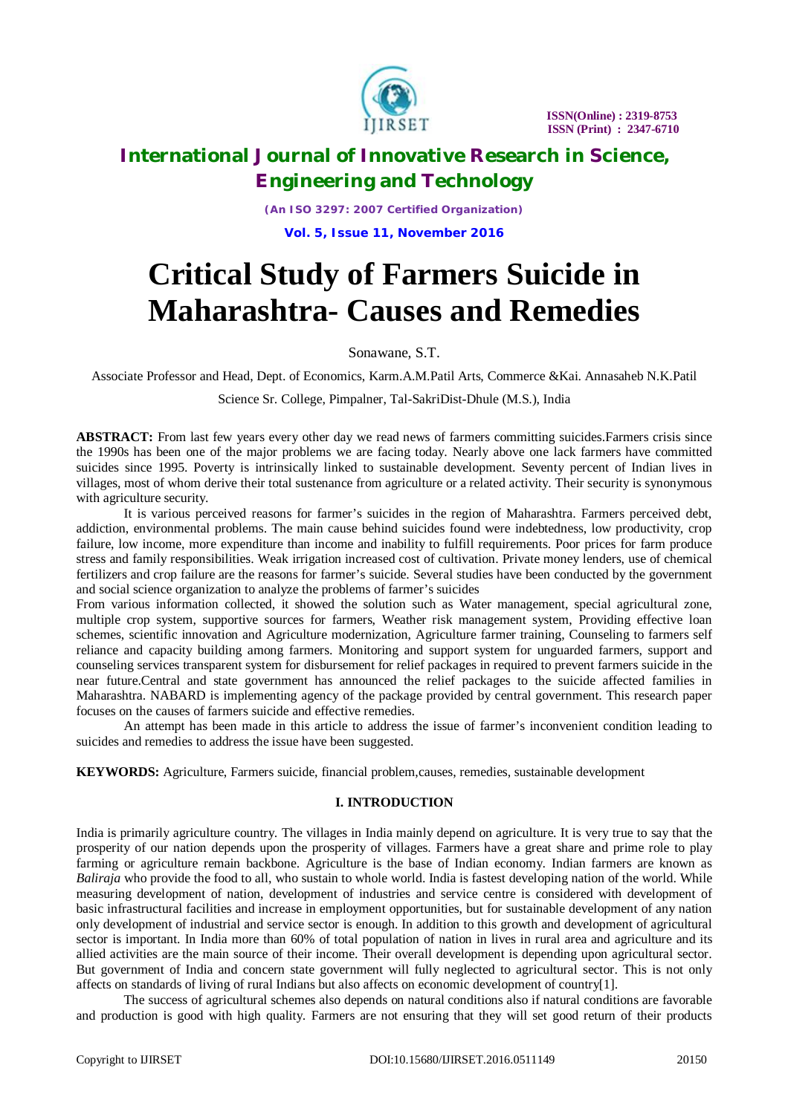

*(An ISO 3297: 2007 Certified Organization)*

**Vol. 5, Issue 11, November 2016**

# **Critical Study of Farmers Suicide in Maharashtra- Causes and Remedies**

Sonawane, S.T.

Associate Professor and Head, Dept. of Economics, Karm.A.M.Patil Arts, Commerce &Kai. Annasaheb N.K.Patil

Science Sr. College, Pimpalner, Tal-SakriDist-Dhule (M.S.), India

**ABSTRACT:** From last few years every other day we read news of farmers committing suicides.Farmers crisis since the 1990s has been one of the major problems we are facing today. Nearly above one lack farmers have committed suicides since 1995. Poverty is intrinsically linked to sustainable development. Seventy percent of Indian lives in villages, most of whom derive their total sustenance from agriculture or a related activity. Their security is synonymous with agriculture security.

It is various perceived reasons for farmer's suicides in the region of Maharashtra. Farmers perceived debt, addiction, environmental problems. The main cause behind suicides found were indebtedness, low productivity, crop failure, low income, more expenditure than income and inability to fulfill requirements. Poor prices for farm produce stress and family responsibilities. Weak irrigation increased cost of cultivation. Private money lenders, use of chemical fertilizers and crop failure are the reasons for farmer's suicide. Several studies have been conducted by the government and social science organization to analyze the problems of farmer's suicides

From various information collected, it showed the solution such as Water management, special agricultural zone, multiple crop system, supportive sources for farmers, Weather risk management system, Providing effective loan schemes, scientific innovation and Agriculture modernization, Agriculture farmer training, Counseling to farmers self reliance and capacity building among farmers. Monitoring and support system for unguarded farmers, support and counseling services transparent system for disbursement for relief packages in required to prevent farmers suicide in the near future.Central and state government has announced the relief packages to the suicide affected families in Maharashtra. NABARD is implementing agency of the package provided by central government. This research paper focuses on the causes of farmers suicide and effective remedies.

An attempt has been made in this article to address the issue of farmer's inconvenient condition leading to suicides and remedies to address the issue have been suggested.

**KEYWORDS:** Agriculture, Farmers suicide, financial problem,causes, remedies, sustainable development

### **I. INTRODUCTION**

India is primarily agriculture country. The villages in India mainly depend on agriculture. It is very true to say that the prosperity of our nation depends upon the prosperity of villages. Farmers have a great share and prime role to play farming or agriculture remain backbone. Agriculture is the base of Indian economy. Indian farmers are known as *Baliraja* who provide the food to all, who sustain to whole world. India is fastest developing nation of the world. While measuring development of nation, development of industries and service centre is considered with development of basic infrastructural facilities and increase in employment opportunities, but for sustainable development of any nation only development of industrial and service sector is enough. In addition to this growth and development of agricultural sector is important. In India more than 60% of total population of nation in lives in rural area and agriculture and its allied activities are the main source of their income. Their overall development is depending upon agricultural sector. But government of India and concern state government will fully neglected to agricultural sector. This is not only affects on standards of living of rural Indians but also affects on economic development of country[1].

The success of agricultural schemes also depends on natural conditions also if natural conditions are favorable and production is good with high quality. Farmers are not ensuring that they will set good return of their products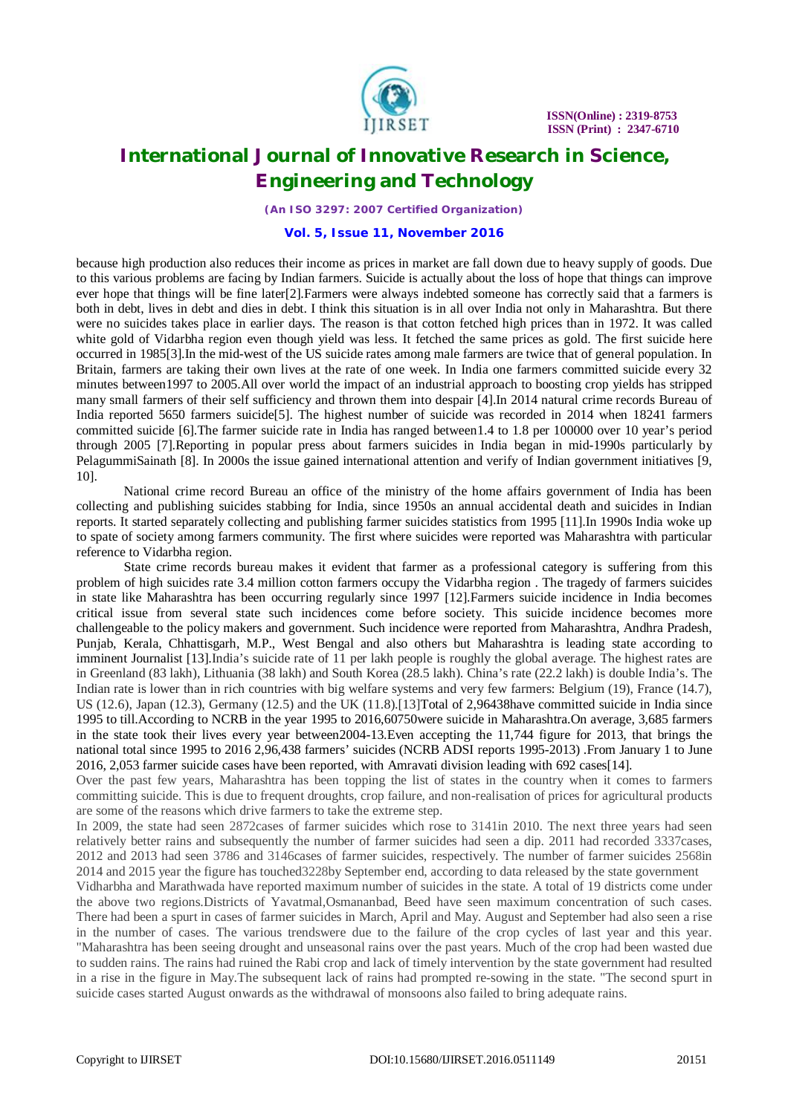

*(An ISO 3297: 2007 Certified Organization)*

#### **Vol. 5, Issue 11, November 2016**

because high production also reduces their income as prices in market are fall down due to heavy supply of goods. Due to this various problems are facing by Indian farmers. Suicide is actually about the loss of hope that things can improve ever hope that things will be fine later[2].Farmers were always indebted someone has correctly said that a farmers is both in debt, lives in debt and dies in debt. I think this situation is in all over India not only in Maharashtra. But there were no suicides takes place in earlier days. The reason is that cotton fetched high prices than in 1972. It was called white gold of Vidarbha region even though yield was less. It fetched the same prices as gold. The first suicide here occurred in 1985[3].In the mid-west of the US suicide rates among male farmers are twice that of general population. In Britain, farmers are taking their own lives at the rate of one week. In India one farmers committed suicide every 32 minutes between1997 to 2005.All over world the impact of an industrial approach to boosting crop yields has stripped many small farmers of their self sufficiency and thrown them into despair [4].In 2014 natural crime records Bureau of India reported 5650 farmers suicide[5]. The highest number of suicide was recorded in 2014 when 18241 farmers committed suicide [6].The farmer suicide rate in India has ranged between1.4 to 1.8 per 100000 over 10 year's period through 2005 [7].Reporting in popular press about farmers suicides in India began in mid-1990s particularly by PelagummiSainath [8]. In 2000s the issue gained international attention and verify of Indian government initiatives [9, 10].

National crime record Bureau an office of the ministry of the home affairs government of India has been collecting and publishing suicides stabbing for India, since 1950s an annual accidental death and suicides in Indian reports. It started separately collecting and publishing farmer suicides statistics from 1995 [11].In 1990s India woke up to spate of society among farmers community. The first where suicides were reported was Maharashtra with particular reference to Vidarbha region.

State crime records bureau makes it evident that farmer as a professional category is suffering from this problem of high suicides rate 3.4 million cotton farmers occupy the Vidarbha region . The tragedy of farmers suicides in state like Maharashtra has been occurring regularly since 1997 [12].Farmers suicide incidence in India becomes critical issue from several state such incidences come before society. This suicide incidence becomes more challengeable to the policy makers and government. Such incidence were reported from Maharashtra, Andhra Pradesh, Punjab, Kerala, Chhattisgarh, M.P., West Bengal and also others but Maharashtra is leading state according to imminent Journalist [13].India's suicide rate of 11 per lakh people is roughly the global average. The highest rates are in Greenland (83 lakh), Lithuania (38 lakh) and South Korea (28.5 lakh). China's rate (22.2 lakh) is double India's. The Indian rate is lower than in rich countries with big welfare systems and very few farmers: Belgium (19), France (14.7), US (12.6), Japan (12.3), Germany (12.5) and the UK (11.8).[13]Total of 2,96438have committed suicide in India since 1995 to till.According to NCRB in the year 1995 to 2016,60750were suicide in Maharashtra.On average, 3,685 farmers in the state took their lives every year between2004-13.Even accepting the 11,744 figure for 2013, that brings the national total since 1995 to 2016 2,96,438 farmers' suicides (NCRB ADSI reports 1995-2013) .From January 1 to June 2016, 2,053 farmer suicide cases have been reported, with Amravati division leading with 692 cases[14].

Over the past few years, Maharashtra has been topping the list of states in the country when it comes to farmers committing suicide. This is due to frequent droughts, crop failure, and non-realisation of prices for agricultural products are some of the reasons which drive farmers to take the extreme step.

In 2009, the state had seen 2872cases of farmer suicides which rose to 3141in 2010. The next three years had seen relatively better rains and subsequently the number of farmer suicides had seen a dip. 2011 had recorded 3337cases, 2012 and 2013 had seen 3786 and 3146cases of farmer suicides, respectively. The number of farmer suicides 2568in 2014 and 2015 year the figure has touched3228by September end, according to data released by the state government

Vidharbha and Marathwada have reported maximum number of suicides in the state. A total of 19 districts come under the above two regions.Districts of Yavatmal,Osmananbad, Beed have seen maximum concentration of such cases. There had been a spurt in cases of farmer suicides in March, April and May. August and September had also seen a rise in the number of cases. The various trendswere due to the failure of the crop cycles of last year and this year. "Maharashtra has been seeing drought and unseasonal rains over the past years. Much of the crop had been wasted due to sudden rains. The rains had ruined the Rabi crop and lack of timely intervention by the state government had resulted in a rise in the figure in May.The subsequent lack of rains had prompted re-sowing in the state. "The second spurt in suicide cases started August onwards as the withdrawal of monsoons also failed to bring adequate rains.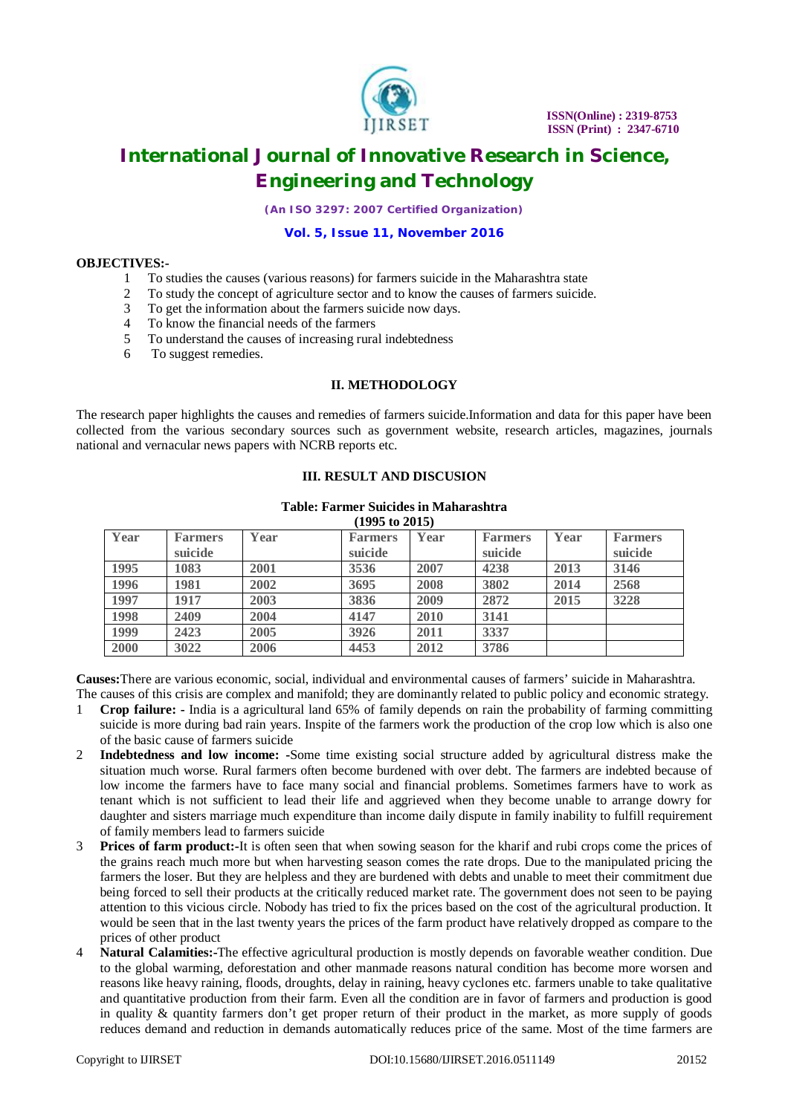

*(An ISO 3297: 2007 Certified Organization)*

#### **Vol. 5, Issue 11, November 2016**

### **OBJECTIVES:-**

- 1 To studies the causes (various reasons) for farmers suicide in the Maharashtra state
- 2 To study the concept of agriculture sector and to know the causes of farmers suicide.
- 3 To get the information about the farmers suicide now days.
- 4 To know the financial needs of the farmers
- 5 To understand the causes of increasing rural indebtedness<br>6 To suggest remedies.
- To suggest remedies.

### **II. METHODOLOGY**

The research paper highlights the causes and remedies of farmers suicide.Information and data for this paper have been collected from the various secondary sources such as government website, research articles, magazines, journals national and vernacular news papers with NCRB reports etc.

### **III. RESULT AND DISCUSION**

#### **Table: Farmer Suicides in Maharashtra (1995 to 2015)**

| $(1995 \text{ U} \; 2015)$ |                           |      |                           |      |                           |      |                           |
|----------------------------|---------------------------|------|---------------------------|------|---------------------------|------|---------------------------|
| Year                       | <b>Farmers</b><br>suicide | Year | <b>Farmers</b><br>suicide | Year | <b>Farmers</b><br>suicide | Year | <b>Farmers</b><br>suicide |
| 1995                       | 1083                      | 2001 | 3536                      | 2007 | 4238                      | 2013 | 3146                      |
| 1996                       | 1981                      | 2002 | 3695                      | 2008 | 3802                      | 2014 | 2568                      |
| 1997                       | 1917                      | 2003 | 3836                      | 2009 | 2872                      | 2015 | 3228                      |
| 1998                       | 2409                      | 2004 | 4147                      | 2010 | 3141                      |      |                           |
| 1999                       | 2423                      | 2005 | 3926                      | 2011 | 3337                      |      |                           |
| 2000                       | 3022                      | 2006 | 4453                      | 2012 | 3786                      |      |                           |

**Causes:**There are various economic, social, individual and environmental causes of farmers' suicide in Maharashtra. The causes of this crisis are complex and manifold; they are dominantly related to public policy and economic strategy.

- 1 **Crop failure: -** India is a agricultural land 65% of family depends on rain the probability of farming committing suicide is more during bad rain years. Inspite of the farmers work the production of the crop low which is also one of the basic cause of farmers suicide
- 2 **Indebtedness and low income: -**Some time existing social structure added by agricultural distress make the situation much worse. Rural farmers often become burdened with over debt. The farmers are indebted because of low income the farmers have to face many social and financial problems. Sometimes farmers have to work as tenant which is not sufficient to lead their life and aggrieved when they become unable to arrange dowry for daughter and sisters marriage much expenditure than income daily dispute in family inability to fulfill requirement of family members lead to farmers suicide
- 3 **Prices of farm product:-**It is often seen that when sowing season for the kharif and rubi crops come the prices of the grains reach much more but when harvesting season comes the rate drops. Due to the manipulated pricing the farmers the loser. But they are helpless and they are burdened with debts and unable to meet their commitment due being forced to sell their products at the critically reduced market rate. The government does not seen to be paying attention to this vicious circle. Nobody has tried to fix the prices based on the cost of the agricultural production. It would be seen that in the last twenty years the prices of the farm product have relatively dropped as compare to the prices of other product
- 4 **Natural Calamities:-**The effective agricultural production is mostly depends on favorable weather condition. Due to the global warming, deforestation and other manmade reasons natural condition has become more worsen and reasons like heavy raining, floods, droughts, delay in raining, heavy cyclones etc. farmers unable to take qualitative and quantitative production from their farm. Even all the condition are in favor of farmers and production is good in quality & quantity farmers don't get proper return of their product in the market, as more supply of goods reduces demand and reduction in demands automatically reduces price of the same. Most of the time farmers are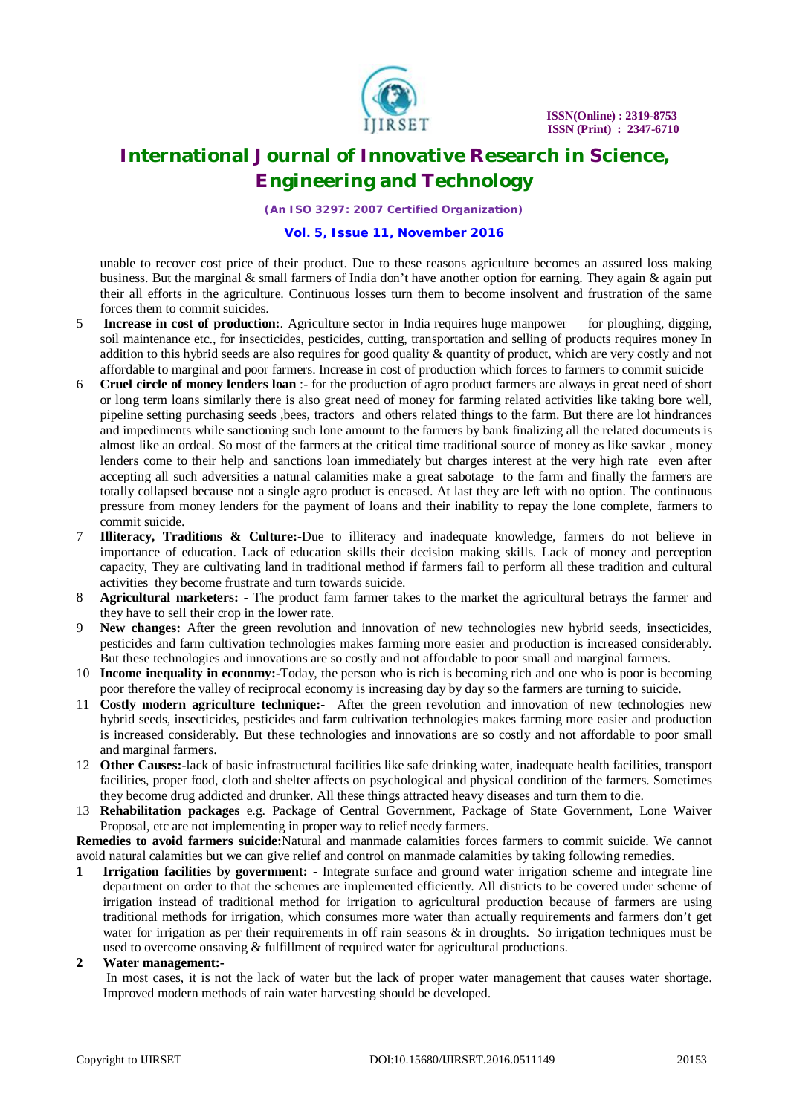

*(An ISO 3297: 2007 Certified Organization)*

#### **Vol. 5, Issue 11, November 2016**

unable to recover cost price of their product. Due to these reasons agriculture becomes an assured loss making business. But the marginal  $\&$  small farmers of India don't have another option for earning. They again  $\&$  again put their all efforts in the agriculture. Continuous losses turn them to become insolvent and frustration of the same forces them to commit suicides.

- 5 **Increase in cost of production:**. Agriculture sector in India requires huge manpower for ploughing, digging, soil maintenance etc., for insecticides, pesticides, cutting, transportation and selling of products requires money In addition to this hybrid seeds are also requires for good quality & quantity of product, which are very costly and not affordable to marginal and poor farmers. Increase in cost of production which forces to farmers to commit suicide
- 6 **Cruel circle of money lenders loan** :- for the production of agro product farmers are always in great need of short or long term loans similarly there is also great need of money for farming related activities like taking bore well, pipeline setting purchasing seeds ,bees, tractors and others related things to the farm. But there are lot hindrances and impediments while sanctioning such lone amount to the farmers by bank finalizing all the related documents is almost like an ordeal. So most of the farmers at the critical time traditional source of money as like savkar , money lenders come to their help and sanctions loan immediately but charges interest at the very high rate even after accepting all such adversities a natural calamities make a great sabotage to the farm and finally the farmers are totally collapsed because not a single agro product is encased. At last they are left with no option. The continuous pressure from money lenders for the payment of loans and their inability to repay the lone complete, farmers to commit suicide.
- 7 **Illiteracy, Traditions & Culture:-**Due to illiteracy and inadequate knowledge, farmers do not believe in importance of education. Lack of education skills their decision making skills. Lack of money and perception capacity, They are cultivating land in traditional method if farmers fail to perform all these tradition and cultural activities they become frustrate and turn towards suicide.
- 8 **Agricultural marketers: -** The product farm farmer takes to the market the agricultural betrays the farmer and they have to sell their crop in the lower rate.
- 9 **New changes:** After the green revolution and innovation of new technologies new hybrid seeds, insecticides, pesticides and farm cultivation technologies makes farming more easier and production is increased considerably. But these technologies and innovations are so costly and not affordable to poor small and marginal farmers.
- 10 **Income inequality in economy:-**Today, the person who is rich is becoming rich and one who is poor is becoming poor therefore the valley of reciprocal economy is increasing day by day so the farmers are turning to suicide.
- 11 **Costly modern agriculture technique:-** After the green revolution and innovation of new technologies new hybrid seeds, insecticides, pesticides and farm cultivation technologies makes farming more easier and production is increased considerably. But these technologies and innovations are so costly and not affordable to poor small and marginal farmers.
- 12 **Other Causes:-**lack of basic infrastructural facilities like safe drinking water, inadequate health facilities, transport facilities, proper food, cloth and shelter affects on psychological and physical condition of the farmers. Sometimes they become drug addicted and drunker. All these things attracted heavy diseases and turn them to die.
- 13 **Rehabilitation packages** e.g. Package of Central Government, Package of State Government, Lone Waiver Proposal, etc are not implementing in proper way to relief needy farmers.

**Remedies to avoid farmers suicide:**Natural and manmade calamities forces farmers to commit suicide. We cannot avoid natural calamities but we can give relief and control on manmade calamities by taking following remedies.

**1 Irrigation facilities by government: -** Integrate surface and ground water irrigation scheme and integrate line department on order to that the schemes are implemented efficiently. All districts to be covered under scheme of irrigation instead of traditional method for irrigation to agricultural production because of farmers are using traditional methods for irrigation, which consumes more water than actually requirements and farmers don't get water for irrigation as per their requirements in off rain seasons  $\&$  in droughts. So irrigation techniques must be used to overcome onsaving & fulfillment of required water for agricultural productions.

#### **2 Water management:-**

In most cases, it is not the lack of water but the lack of proper water management that causes water shortage. Improved modern methods of rain water harvesting should be developed.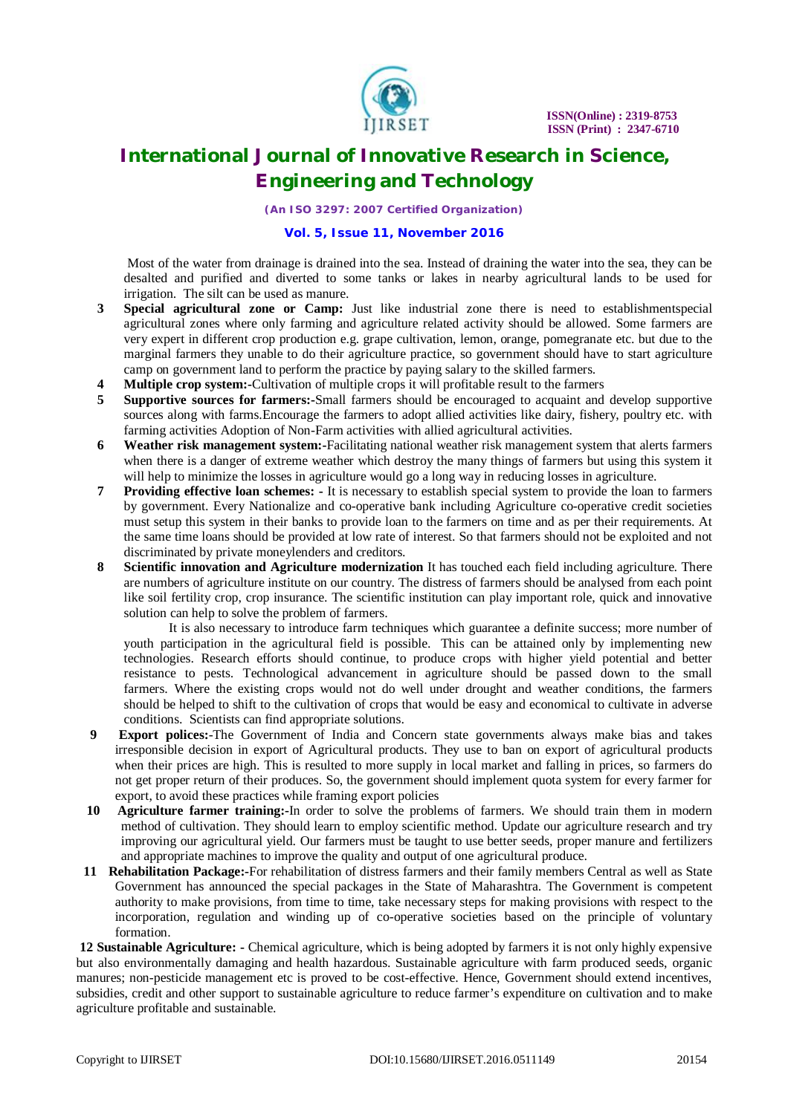

*(An ISO 3297: 2007 Certified Organization)*

### **Vol. 5, Issue 11, November 2016**

Most of the water from drainage is drained into the sea. Instead of draining the water into the sea, they can be desalted and purified and diverted to some tanks or lakes in nearby agricultural lands to be used for irrigation. The silt can be used as manure.

- **3 Special agricultural zone or Camp:** Just like industrial zone there is need to establishmentspecial agricultural zones where only farming and agriculture related activity should be allowed. Some farmers are very expert in different crop production e.g. grape cultivation, lemon, orange, pomegranate etc. but due to the marginal farmers they unable to do their agriculture practice, so government should have to start agriculture camp on government land to perform the practice by paying salary to the skilled farmers.
- **4 Multiple crop system:-**Cultivation of multiple crops it will profitable result to the farmers
- **5 Supportive sources for farmers:-**Small farmers should be encouraged to acquaint and develop supportive sources along with farms.Encourage the farmers to adopt allied activities like dairy, fishery, poultry etc. with farming activities Adoption of Non-Farm activities with allied agricultural activities.
- **6 Weather risk management system:-**Facilitating national weather risk management system that alerts farmers when there is a danger of extreme weather which destroy the many things of farmers but using this system it will help to minimize the losses in agriculture would go a long way in reducing losses in agriculture.
- **7 Providing effective loan schemes: -** It is necessary to establish special system to provide the loan to farmers by government. Every Nationalize and co-operative bank including Agriculture co-operative credit societies must setup this system in their banks to provide loan to the farmers on time and as per their requirements. At the same time loans should be provided at low rate of interest. So that farmers should not be exploited and not discriminated by private moneylenders and creditors.
- **8 Scientific innovation and Agriculture modernization** It has touched each field including agriculture. There are numbers of agriculture institute on our country. The distress of farmers should be analysed from each point like soil fertility crop, crop insurance. The scientific institution can play important role, quick and innovative solution can help to solve the problem of farmers.

It is also necessary to introduce farm techniques which guarantee a definite success; more number of youth participation in the agricultural field is possible. This can be attained only by implementing new technologies. Research efforts should continue, to produce crops with higher yield potential and better resistance to pests. Technological advancement in agriculture should be passed down to the small farmers. Where the existing crops would not do well under drought and weather conditions, the farmers should be helped to shift to the cultivation of crops that would be easy and economical to cultivate in adverse conditions. Scientists can find appropriate solutions.

- **9 Export polices:**-The Government of India and Concern state governments always make bias and takes irresponsible decision in export of Agricultural products. They use to ban on export of agricultural products when their prices are high. This is resulted to more supply in local market and falling in prices, so farmers do not get proper return of their produces. So, the government should implement quota system for every farmer for export, to avoid these practices while framing export policies
- **10 Agriculture farmer training:-**In order to solve the problems of farmers. We should train them in modern method of cultivation. They should learn to employ scientific method. Update our agriculture research and try improving our agricultural yield. Our farmers must be taught to use better seeds, proper manure and fertilizers and appropriate machines to improve the quality and output of one agricultural produce.
- **11 Rehabilitation Package:-**For rehabilitation of distress farmers and their family members Central as well as State Government has announced the special packages in the State of Maharashtra. The Government is competent authority to make provisions, from time to time, take necessary steps for making provisions with respect to the incorporation, regulation and winding up of co-operative societies based on the principle of voluntary formation.

**12 Sustainable Agriculture: -** Chemical agriculture, which is being adopted by farmers it is not only highly expensive but also environmentally damaging and health hazardous. Sustainable agriculture with farm produced seeds, organic manures; non-pesticide management etc is proved to be cost-effective. Hence, Government should extend incentives, subsidies, credit and other support to sustainable agriculture to reduce farmer's expenditure on cultivation and to make agriculture profitable and sustainable.